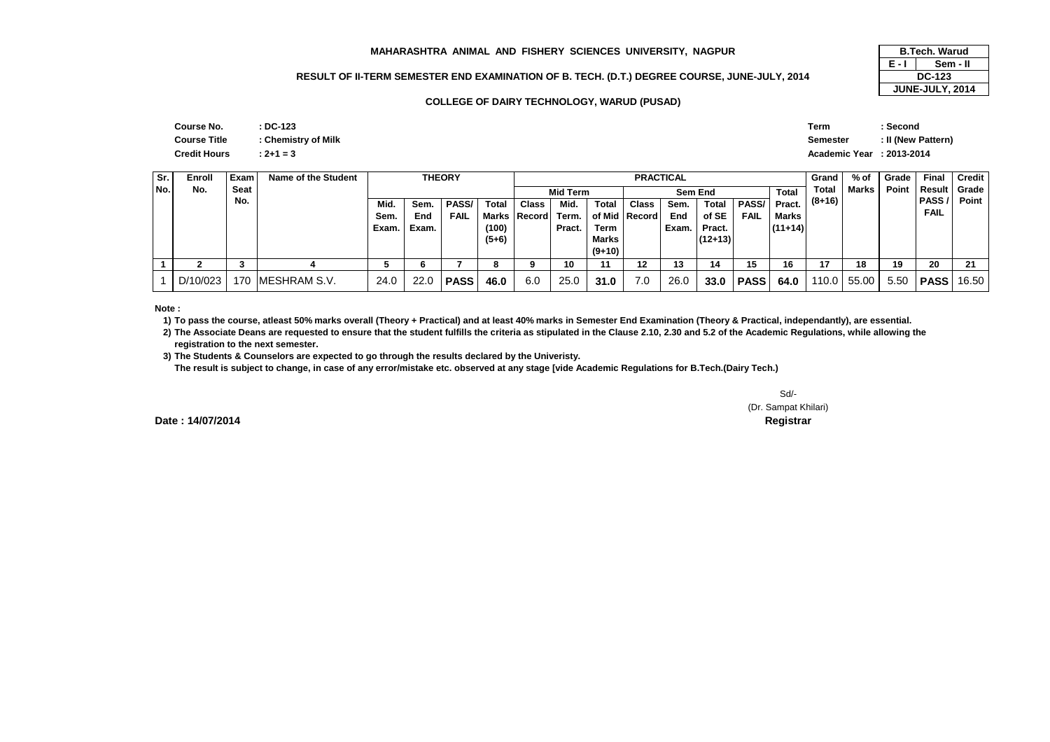#### **MAHARASHTRA ANIMAL AND FISHERY SCIENCES UNIVERSITY, NAGPUR**

### **RESULT OF II-TERM SEMESTER END EXAMINATION OF B. TECH. (D.T.) DEGREE COURSE, JUNE-JULY, 2014**

#### **COLLEGE OF DAIRY TECHNOLOGY, WARUD (PUSAD)**

| R               | <b>B.Tech. Warud</b> |               |  |  |
|-----------------|----------------------|---------------|--|--|
|                 | F - L                | Sem - II      |  |  |
| JUNE-JULY, 2014 |                      | <b>DC-123</b> |  |  |
|                 | JUNE-JULY, 2014      |               |  |  |

| Course No.          | : DC-123            |
|---------------------|---------------------|
| <b>Course Title</b> | : Chemistry of Milk |
| <b>Credit Hours</b> | $: 2 + 1 = 3$       |

|               | Term                      | ∵Second            |
|---------------|---------------------------|--------------------|
| istry of Milk | Semester                  | : II (New Pattern) |
|               | Academic Year : 2013-2014 |                    |

| Sr.  | Enroll   | Exam l | Name of the Student | <b>THEORY</b> |       |              |         | <b>PRACTICAL</b> |                                     |          |                 |       |           | Grand        | % of      | Grade    | Final         | <b>Credit</b> |                |       |
|------|----------|--------|---------------------|---------------|-------|--------------|---------|------------------|-------------------------------------|----------|-----------------|-------|-----------|--------------|-----------|----------|---------------|---------------|----------------|-------|
| INo. | No.      | Seat   |                     |               |       |              |         |                  | <b>Total</b><br>Mid Term<br>Sem End |          |                 |       |           |              | Total     | Marks    | Point         |               | Result   Grade |       |
|      |          | No.    |                     | Mid.          | Sem.  | <b>PASS/</b> | Total   | Class            | Mid.                                | Total    | Class           | Sem.  | Total     | <b>PASS/</b> | Pract.    | $(8+16)$ |               |               | <b>PASS/</b>   | Point |
|      |          |        |                     | Sem.          | End   | <b>FAIL</b>  |         | Marks   Record   | Term.                               |          | of Mid   Record | End   | of SE     | <b>FAIL</b>  | Marks     |          |               |               | <b>FAIL</b>    |       |
|      |          |        |                     | Exam.         | Exam. |              | (100)   |                  | Pract.                              | Term     |                 | Exam. | Pract.    |              | $(11+14)$ |          |               |               |                |       |
|      |          |        |                     |               |       |              | $(5+6)$ |                  |                                     | Marks    |                 |       | $(12+13)$ |              |           |          |               |               |                |       |
|      |          |        |                     |               |       |              |         |                  |                                     | $(9+10)$ |                 |       |           |              |           |          |               |               |                |       |
|      |          |        |                     |               |       |              |         |                  | 10                                  | 11       | 12              | 13    | 14        | 15           | 16        | 17       | 18            | 19            | 20             | 21    |
|      | D/10/023 |        | 170 IMESHRAM S.V.   | 24.0          | 22.0  | <b>PASS</b>  | 46.0    | 6.0              | 25.0                                | 31.0     | 7.0             | 26.0  | 33.0      | <b>PASS</b>  | 64.0      | 110.0    | $\vert$ 55.00 | 5.50          | <b>PASS</b>    | 16.50 |

**Note :**

**1) To pass the course, atleast 50% marks overall (Theory + Practical) and at least 40% marks in Semester End Examination (Theory & Practical, independantly), are essential.** 

**2) The Associate Deans are requested to ensure that the student fulfills the criteria as stipulated in the Clause 2.10, 2.30 and 5.2 of the Academic Regulations, while allowing the registration to the next semester.**

**3) The Students & Counselors are expected to go through the results declared by the Univeristy.** 

**The result is subject to change, in case of any error/mistake etc. observed at any stage [vide Academic Regulations for B.Tech.(Dairy Tech.)**

Sd/- (Dr. Sampat Khilari)**Controller of Examinations Registrar**

**Date : 14/07/2014**